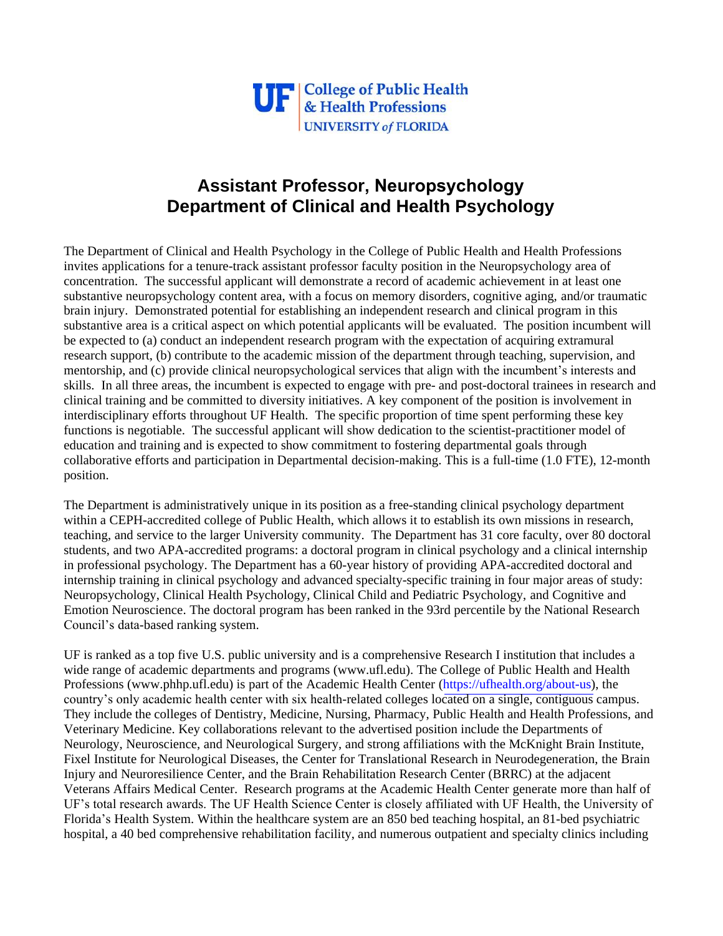

## **Assistant Professor, Neuropsychology Department of Clinical and Health Psychology**

The Department of Clinical and Health Psychology in the College of Public Health and Health Professions invites applications for a tenure-track assistant professor faculty position in the Neuropsychology area of concentration. The successful applicant will demonstrate a record of academic achievement in at least one substantive neuropsychology content area, with a focus on memory disorders, cognitive aging, and/or traumatic brain injury. Demonstrated potential for establishing an independent research and clinical program in this substantive area is a critical aspect on which potential applicants will be evaluated. The position incumbent will be expected to (a) conduct an independent research program with the expectation of acquiring extramural research support, (b) contribute to the academic mission of the department through teaching, supervision, and mentorship, and (c) provide clinical neuropsychological services that align with the incumbent's interests and skills. In all three areas, the incumbent is expected to engage with pre- and post-doctoral trainees in research and clinical training and be committed to diversity initiatives. A key component of the position is involvement in interdisciplinary efforts throughout UF Health. The specific proportion of time spent performing these key functions is negotiable. The successful applicant will show dedication to the scientist-practitioner model of education and training and is expected to show commitment to fostering departmental goals through collaborative efforts and participation in Departmental decision-making. This is a full-time (1.0 FTE), 12-month position.

The Department is administratively unique in its position as a free-standing clinical psychology department within a CEPH-accredited college of Public Health, which allows it to establish its own missions in research, teaching, and service to the larger University community. The Department has 31 core faculty, over 80 doctoral students, and two APA-accredited programs: a doctoral program in clinical psychology and a clinical internship in professional psychology. The Department has a 60-year history of providing APA-accredited doctoral and internship training in clinical psychology and advanced specialty-specific training in four major areas of study: Neuropsychology, Clinical Health Psychology, Clinical Child and Pediatric Psychology, and Cognitive and Emotion Neuroscience. The doctoral program has been ranked in the 93rd percentile by the National Research Council's data-based ranking system.

UF is ranked as a top five U.S. public university and is a comprehensive Research I institution that includes a wide range of academic departments and programs (www.ufl.edu). The College of Public Health and Health Professions (www.phhp.ufl.edu) is part of the Academic Health Center [\(https://ufhealth.org/about-us\)](https://ufhealth.org/about-us), the country's only academic health center with six health-related colleges located on a single, contiguous campus. They include the colleges of Dentistry, Medicine, Nursing, Pharmacy, Public Health and Health Professions, and Veterinary Medicine. Key collaborations relevant to the advertised position include the Departments of Neurology, Neuroscience, and Neurological Surgery, and strong affiliations with the McKnight Brain Institute, Fixel Institute for Neurological Diseases, the Center for Translational Research in Neurodegeneration, the Brain Injury and Neuroresilience Center, and the Brain Rehabilitation Research Center (BRRC) at the adjacent Veterans Affairs Medical Center. Research programs at the Academic Health Center generate more than half of UF's total research awards. The UF Health Science Center is closely affiliated with UF Health, the University of Florida's Health System. Within the healthcare system are an 850 bed teaching hospital, an 81-bed psychiatric hospital, a 40 bed comprehensive rehabilitation facility, and numerous outpatient and specialty clinics including